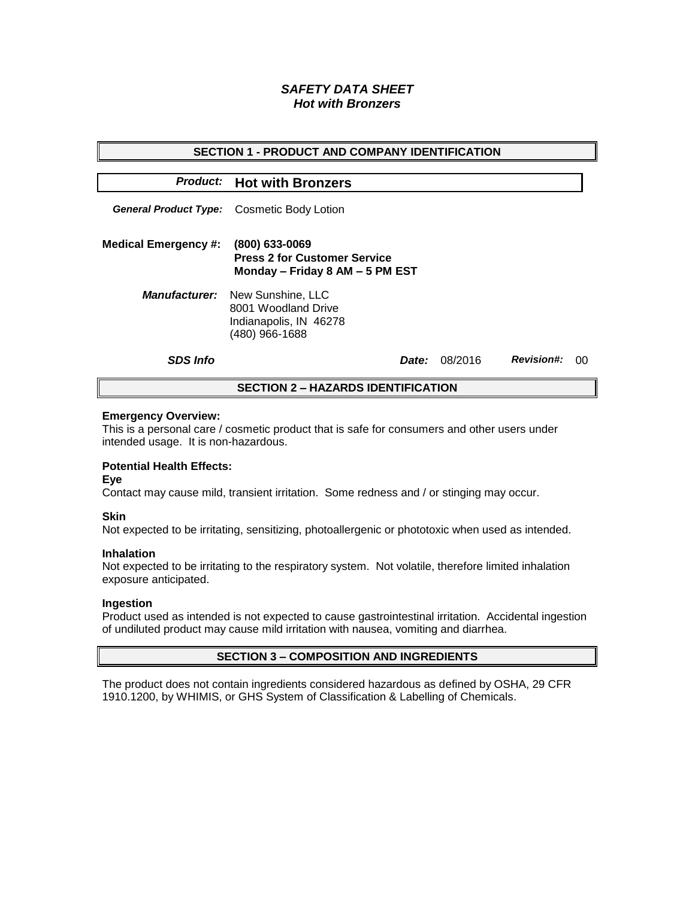# *SAFETY DATA SHEET Hot with Bronzers*

| <b>SECTION 1 - PRODUCT AND COMPANY IDENTIFICATION</b> |                                                                                                           |              |         |                   |    |  |
|-------------------------------------------------------|-----------------------------------------------------------------------------------------------------------|--------------|---------|-------------------|----|--|
|                                                       | <b>Product:</b> Hot with Bronzers                                                                         |              |         |                   |    |  |
|                                                       | <b>General Product Type:</b> Cosmetic Body Lotion                                                         |              |         |                   |    |  |
| <b>Medical Emergency #:</b>                           | (800) 633-0069<br><b>Press 2 for Customer Service</b><br>Monday - Friday 8 AM - 5 PM EST                  |              |         |                   |    |  |
|                                                       | <b>Manufacturer:</b> New Sunshine, LLC<br>8001 Woodland Drive<br>Indianapolis, IN 46278<br>(480) 966-1688 |              |         |                   |    |  |
| <b>SDS Info</b>                                       |                                                                                                           | <i>Date:</i> | 08/2016 | <b>Revision#:</b> | ററ |  |
| <b>SECTION 2 – HAZARDS IDENTIFICATION</b>             |                                                                                                           |              |         |                   |    |  |

#### **Emergency Overview:**

This is a personal care / cosmetic product that is safe for consumers and other users under intended usage. It is non-hazardous.

## **Potential Health Effects:**

**Eye**

Contact may cause mild, transient irritation. Some redness and / or stinging may occur.

### **Skin**

Not expected to be irritating, sensitizing, photoallergenic or phototoxic when used as intended.

#### **Inhalation**

Not expected to be irritating to the respiratory system. Not volatile, therefore limited inhalation exposure anticipated.

### **Ingestion**

Product used as intended is not expected to cause gastrointestinal irritation. Accidental ingestion of undiluted product may cause mild irritation with nausea, vomiting and diarrhea.

### **SECTION 3 – COMPOSITION AND INGREDIENTS**

The product does not contain ingredients considered hazardous as defined by OSHA, 29 CFR 1910.1200, by WHIMIS, or GHS System of Classification & Labelling of Chemicals.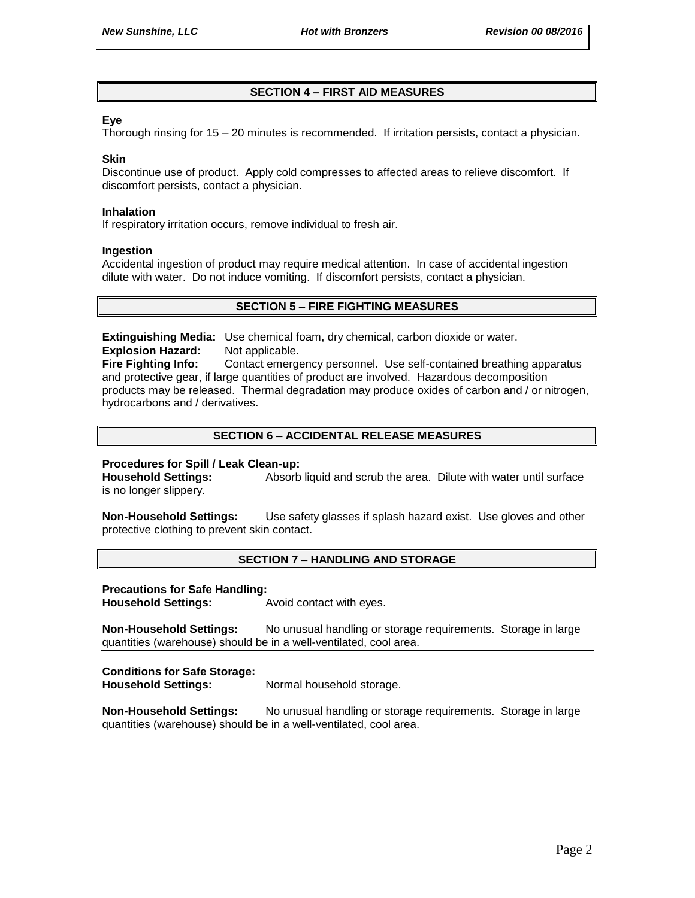## **SECTION 4 – FIRST AID MEASURES**

### **Eye**

Thorough rinsing for 15 – 20 minutes is recommended. If irritation persists, contact a physician.

### **Skin**

Discontinue use of product. Apply cold compresses to affected areas to relieve discomfort. If discomfort persists, contact a physician.

#### **Inhalation**

If respiratory irritation occurs, remove individual to fresh air.

#### **Ingestion**

Accidental ingestion of product may require medical attention. In case of accidental ingestion dilute with water. Do not induce vomiting. If discomfort persists, contact a physician.

## **SECTION 5 – FIRE FIGHTING MEASURES**

**Extinguishing Media:** Use chemical foam, dry chemical, carbon dioxide or water. **Explosion Hazard:** Not applicable.

**Fire Fighting Info:** Contact emergency personnel. Use self-contained breathing apparatus and protective gear, if large quantities of product are involved. Hazardous decomposition products may be released. Thermal degradation may produce oxides of carbon and / or nitrogen, hydrocarbons and / derivatives.

## **SECTION 6 – ACCIDENTAL RELEASE MEASURES**

### **Procedures for Spill / Leak Clean-up:**

**Household Settings:** Absorb liquid and scrub the area. Dilute with water until surface is no longer slippery.

**Non-Household Settings:** Use safety glasses if splash hazard exist. Use gloves and other protective clothing to prevent skin contact.

### **SECTION 7 – HANDLING AND STORAGE**

#### **Precautions for Safe Handling:**

**Household Settings:** Avoid contact with eyes.

**Non-Household Settings:** No unusual handling or storage requirements. Storage in large quantities (warehouse) should be in a well-ventilated, cool area.

### **Conditions for Safe Storage:**

**Household Settings:** Normal household storage.

**Non-Household Settings:** No unusual handling or storage requirements. Storage in large quantities (warehouse) should be in a well-ventilated, cool area.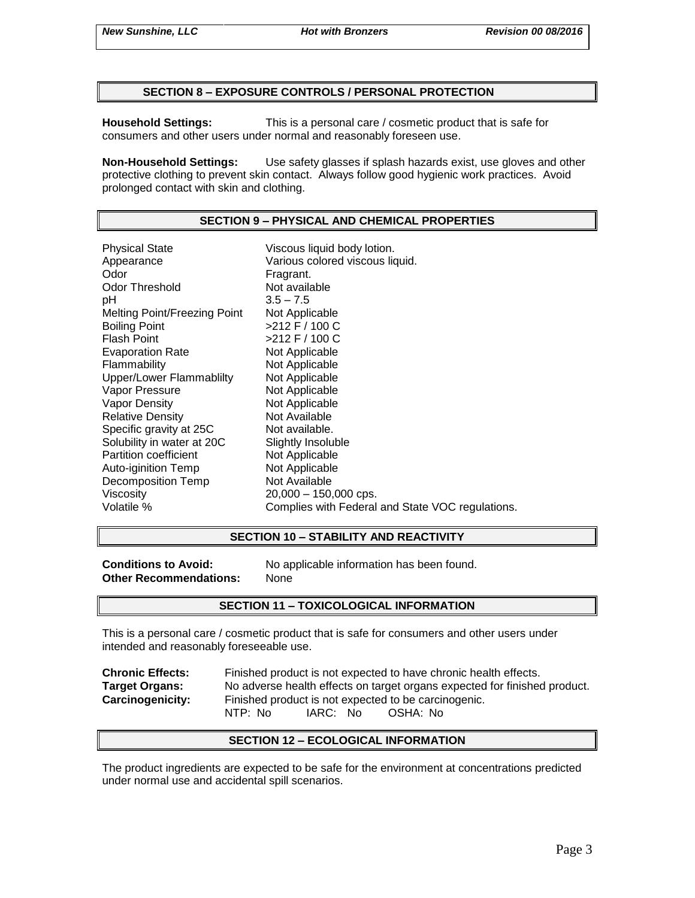### **SECTION 8 – EXPOSURE CONTROLS / PERSONAL PROTECTION**

**Household Settings:** This is a personal care / cosmetic product that is safe for consumers and other users under normal and reasonably foreseen use.

**Non-Household Settings:** Use safety glasses if splash hazards exist, use gloves and other protective clothing to prevent skin contact. Always follow good hygienic work practices. Avoid prolonged contact with skin and clothing.

## **SECTION 9 – PHYSICAL AND CHEMICAL PROPERTIES**

Physical State Viscous liquid body lotion. Appearance Various colored viscous liquid.<br>
Odor Color Color Fragrant. Odor Threshold Not available pH 3.5 – 7.5 Melting Point/Freezing Point Not Applicable Boiling Point >212 F / 100 C Flash Point  $>212$  F / 100 C Evaporation Rate Not Applicable Flammability Not Applicable Upper/Lower Flammablilty Not Applicable Vapor Pressure Not Applicable Vapor Density Not Applicable Relative Density Not Available Specific gravity at 25C Not available. Solubility in water at 20C Slightly Insoluble<br>
Partition coefficient
Subsetted Not Applicable Partition coefficient<br>
Auto-iginition Temp<br>
Not Applicable Auto-iginition Temp Decomposition Temp Not Available Viscosity 20,000 – 150,000 cps. Volatile % Complies with Federal and State VOC regulations.

### **SECTION 10 – STABILITY AND REACTIVITY**

**Other Recommendations:** None

**Conditions to Avoid:** No applicable information has been found.

### **SECTION 11 – TOXICOLOGICAL INFORMATION**

This is a personal care / cosmetic product that is safe for consumers and other users under intended and reasonably foreseeable use.

| <b>Chronic Effects:</b> | Finished product is not expected to have chronic health effects.          |  |  |  |  |
|-------------------------|---------------------------------------------------------------------------|--|--|--|--|
| <b>Target Organs:</b>   | No adverse health effects on target organs expected for finished product. |  |  |  |  |
| <b>Carcinogenicity:</b> | Finished product is not expected to be carcinogenic.                      |  |  |  |  |
|                         | IARC: No<br>NTP: No<br>OSHA: No                                           |  |  |  |  |

### **SECTION 12 – ECOLOGICAL INFORMATION**

The product ingredients are expected to be safe for the environment at concentrations predicted under normal use and accidental spill scenarios.